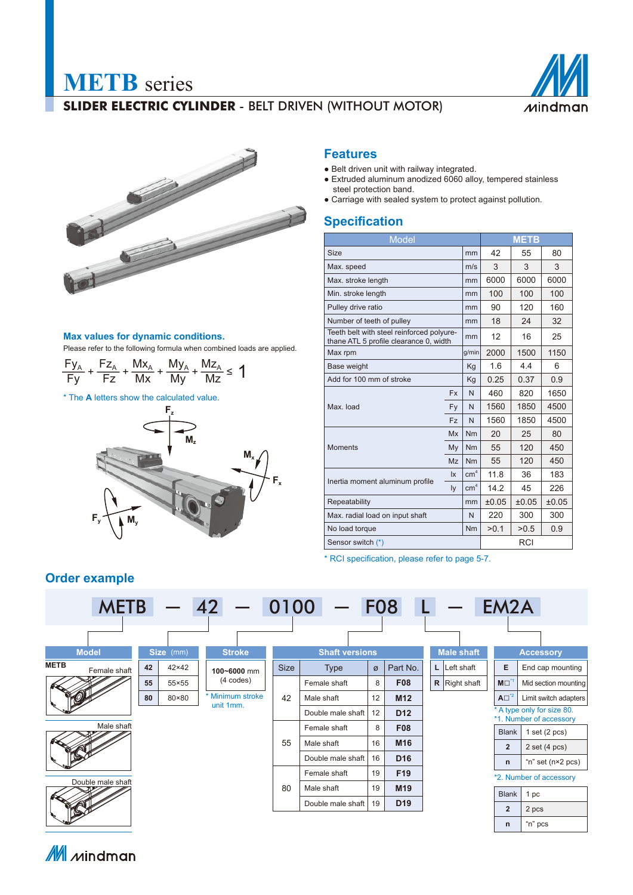# **METB** series

## **SLIDER ELECTRIC CYLINDER** - BELT DRIVEN (WITHOUT MOTOR)





## **Max values for dynamic conditions.**

Please refer to the following formula when combined loads are applied.

 $\frac{Fy_A}{Fy}$  +  $\frac{Fz_A}{Fz}$  +  $\frac{Mx_A}{Mx}$  +  $\frac{My_A}{My}$  +  $\frac{Mz_A}{Mz}$  ≤ 1

\* The **A** letters show the calculated value.



## **Features**

- Belt driven unit with railway integrated.
- Extruded aluminum anodized 6060 alloy, tempered stainless steel protection band.
- Carriage with sealed system to protect against pollution.

## **Specification**

| <b>Model</b>                                                                        |           | <b>METB</b>     |       |       |      |
|-------------------------------------------------------------------------------------|-----------|-----------------|-------|-------|------|
| <b>Size</b>                                                                         |           | mm              | 42    | 55    | 80   |
| Max. speed                                                                          | m/s       | 3               | 3     | 3     |      |
| Max. stroke length                                                                  | mm        | 6000            | 6000  | 6000  |      |
| Min. stroke length                                                                  | mm        | 100             | 100   | 100   |      |
| Pulley drive ratio                                                                  | mm        | 90              | 120   | 160   |      |
| Number of teeth of pulley                                                           | mm        | 18              | 24    | 32    |      |
| Teeth belt with steel reinforced polyure-<br>thane ATL 5 profile clearance 0, width | mm        | 12              | 16    | 25    |      |
| Max rpm                                                                             | g/min     | 2000            | 1500  | 1150  |      |
| <b>Base weight</b>                                                                  | Kg        | 1.6             | 4.4   | 6     |      |
| Add for 100 mm of stroke                                                            | Kg        | 0.25            | 0.37  | 0.9   |      |
|                                                                                     | <b>Fx</b> | N               | 460   | 820   | 1650 |
| Max. load                                                                           | Fy        | N               | 1560  | 1850  | 4500 |
|                                                                                     | <b>Fz</b> | N               | 1560  | 1850  | 4500 |
|                                                                                     | <b>Mx</b> | Nm              | 20    | 25    | 80   |
| <b>Moments</b>                                                                      | My        | Nm              | 55    | 120   | 450  |
|                                                                                     | Mz        | N <sub>m</sub>  | 55    | 120   | 450  |
|                                                                                     | lx        | cm <sup>4</sup> | 11.8  | 36    | 183  |
| Inertia moment aluminum profile                                                     |           | cm <sup>4</sup> | 14.2  | 45    | 226  |
| Repeatability                                                                       | mm        | ±0.05           | ±0.05 | ±0.05 |      |
| Max. radial load on input shaft                                                     | N         | 220             | 300   | 300   |      |
| No load torque                                                                      | Nm        | >0.1            | >0.5  | 0.9   |      |
| Sensor switch (*)                                                                   |           | RCI             |       |       |      |

\* RCI specification, please refer to page 5-7.

## **Order example**



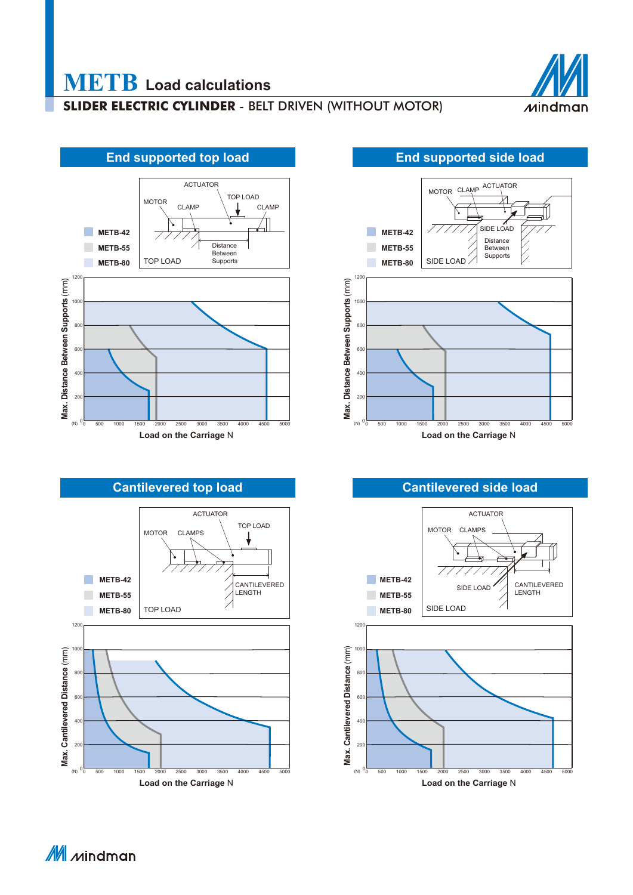## **SLIDER ELECTRIC CYLINDER** - BELT DRIVEN (WITHOUT MOTOR)







## ACTUATOR CLAMP MOTORSIDE LOAD **METB-42** Distance **METB-55 Between** Supports **METB-80** 12 Distance Between Supports (mm) **Max. Distance Between Supports** (mm) <sub>100</sub> 80  $60$  $\overline{a}$ <sub>20</sub>  $Max.1$ (N)  $\mathbf 0$ 0 500 1000 1500 2000 2500 3000 3500 4000 4500 5000 **Load on the Carriage** N





M Mindman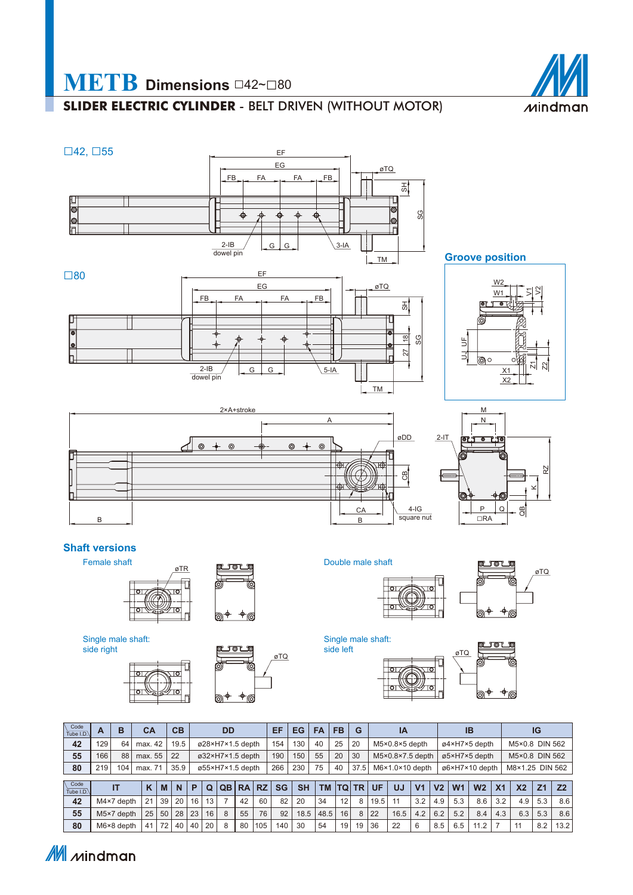

## **METB Dimensions** □42~□<sup>80</sup>

## **SLIDER ELECTRIC CYLINDER** - BELT DRIVEN (WITHOUT MOTOR)



M mindman